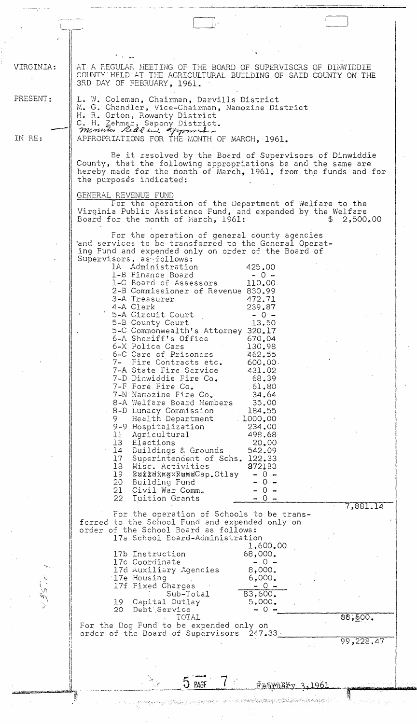| VIRGINIA: | AT A REGULAR MEETING OF THE BOARD OF SUPERVISORS OF DINWIDDIE<br>COUNTY HELD AT THE AGRICULTURAL BUILDING OF SAID COUNTY ON THE<br>3RD DAY OF FEBRUARY, 1961.                                                           |
|-----------|-------------------------------------------------------------------------------------------------------------------------------------------------------------------------------------------------------------------------|
| PRESENT:  | L. W. Coleman, Chairman, Darvills District<br>M. G. Chandler, Vice-Chairman, Namozine District<br>H. R. Orton, Rowanty District<br>C. H. Zehmer, Sapony District.                                                       |
| IN RE:    | menuta Redd and Approved<br>APPROPRIATIONS FOR THE MONTH OF MARCH, 1961.                                                                                                                                                |
|           | Be it resolved by the Board of Supervisors of Dinwiddie<br>County, that the following appropriations be and the same are<br>hereby made for the month of March, 1961, from the funds and for<br>the purposes indicated: |
|           | GENERAL REVENUE FUND<br>For the operation of the Department of Welfare to the<br>Virginia Public Assistance Fund, and expended by the Welfare<br>2,500.00<br>Board for the month of March, 1961:<br>SS.                 |
|           | For the operation of general county agencies<br>and services to be transferred to the General Operat-<br>ing Fund and expended only on order of the Board of<br>Supervisors, as follows:                                |
|           | 1A Administration<br>425.00<br>1-B Finance Board<br>$-0 -$<br>1-C Board of Assessors<br>110.00<br>2-B Commissioner of Revenue 830.99<br>3-A Treasurer<br>472.71                                                         |
|           | 239.87<br>4-A Clerk<br>5-A Circuit Court<br>$-0 -$<br>5-B County Court<br>13.50<br>5-C Commonwealth's Attorney 320.17<br>6-A Sheriff's Office<br>670.04                                                                 |
|           | 6-X Police Cars<br>130.98<br>6–C Care of Prisoners<br>462.55<br>7- Fire Contracts etc.<br>600,00.<br>7-A State Fire Service<br>431.02<br>7-D Dinwiddie Fire Co.<br>68.39                                                |
|           | 7-F Fore Fire Co.<br>.61.80<br>7-N Namozine Fire Co.<br>34.64<br>8-A Welfare Board Members<br>35.00<br>8-D Lunacy Commission<br>184.55<br>Health Department<br>1000,00                                                  |
|           | 9-9 Hospitalization<br>234.00<br>11 Agricultural<br>498.68<br>13 Elections<br>20.00<br>14 Buildings & Grounds<br>542.09<br>17 Superintendent of Schs. 122.33                                                            |
|           | 18 Misc. Activities<br>972183<br>19 RuildxayxRundCap.Otlay<br>$-0 -$<br>20 Building Fund<br>$-0 -$<br>21 Civil War Comm.<br>$-0 -$<br>22 Tuition Grants<br>$-0 -$                                                       |
|           | 7,881.14<br>For the operation of Schools to be trans-<br>ferred to the School Fund and expended only on<br>order of the School Board as follows:<br>17a School Board-Administration                                     |
|           | 1,600.00<br>17b Instruction<br>68,000.<br>17c Coordinate<br>$-0. -$<br>8,000.<br>17d Auxiliary Agencies<br>17e Housing<br>6,000.                                                                                        |
|           | 17f Fixed Charges<br>$-0 -$<br>83,600.<br>Sub-Total<br>19 Capital Outlay<br>5,000.                                                                                                                                      |
|           | 20 Debt Service –<br>$\rightarrow$ 0 $\rightarrow$<br>88,600.<br>TOTAL<br>For the Dog Fund to be expended only on                                                                                                       |
|           | order of the Board of Supervisors 247.33.<br>99,228.47                                                                                                                                                                  |
|           | $5$ PAGE                                                                                                                                                                                                                |
|           | <u> Ғађмату 3.1961</u>                                                                                                                                                                                                  |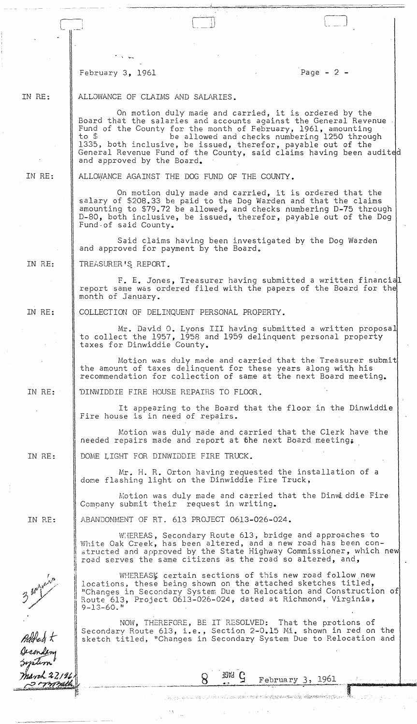February 3, 1961 **Page - 2 -** Page - 2 -

## IN RE: ALLOWANCE OF CLAIMS AND SALARIES.

On motion duly made and carried, it is ordered by the Board that the salaries and accounts against the General Revenue Fund of the County for the month of February, 1961, amounting<br>to \$ be allowed and checks numbering 1250 throug be allowed and checks numbering 1250 through 1335, both inclusive, be issued, therefor, payable out of the General Revenue Fund of the County, said claims having been audited and approved by the Board.

IN RE:

ALLOWANCE AGAINST THE DOG FUND OF THE COUNTY.

On motion duly made and carried, it is ordered that the salary of \$208.33 be paid to the Dog Warden and that the claims amounting to \$79.72 be allowed, and checks numbering D-75 through D-80, both inclusive, be issued, therefor, payable out of the Dog Fund-of said County.

Said claims having been investigated by the Dog Warden and approved for payment by the Board.

IN RE: TREASURER'S REPORT.

> F. E. Jones, Treasurer having submitted a written financial report same was ordered filed with the papers of the Board for the month of January.

IN RE:

COLLECTION OF DELINQUENT PERSONAL PROPERTY.

DINWIDDIE FIRE HOUSE REPAIRS TO FLOOR.

DOME LIGHT FOR DINWIDDIE FIRE TRUCK.

ABANDONMENT OF RT. 613 PROJECT 0613-026-024.

 $\frac{d\mathbf{q}}{d\mathbf{q}}$ 

Mr. David O. Lyons III having submitted a written proposa. to collect the 1957, 1958 and 1959 delinquent personal property taxes for Dinwiddie County.

Motion was duly made and carried that the Treasurer submit the amount of taxes delinquent for these years along with his recommendation for collection of same at the next Board meeting.

IN RE:

It appearing to the Board that the floor in the Dinwiddie Fire house is in need of repairs.

Motion was duly made and carried that the Clerk have the needed repairs made and report at the next Board meeting.

IN RE:

Mr. H. R. Orton having requested the installation of a dome flashing light on the Dinwiddie Fire Truck,

Motion was duly made and carried that the Dinwiddie Fire Company submit their request in writing.

IN RE:

i!

!I

II

II Ii

WHEREAS, Secondary Route 613, bridge and approaches to White Oak Creek, has been altered, and a new road has been constructed and approved by the State Highway Commissioner, which new road serves the same citizens as the road so altered, and,

WHEREASK certain sections of this new road follow new locations, these being shown on the attached sketches titled, "Changes in Secondary Systen; Due to Relocation and Construction of Route 613, Project 0613-026-024, dated at Richmond, Virginia,  $9-13-60.$ "

II ,I NOW, THEREFORE, BE IT RESOLVED: That the protions of Secondary Route 613, i.e., Section 2-0.15 Mi. shown in red on the sketch titled, "Changes in Secondary System Due to Relocation and

.-

e de la completa de la propiedad de la constitución de la confluência de Constitución de la completa de la com

 $\{1, 2, \ldots, 2, 2, 3, 5\}$  .

8 <sup>39Vd</sup> <del>S</del> February 3, 1961

**TASE** 

Added t Decord navch 22196 <del>s i vivin</del>a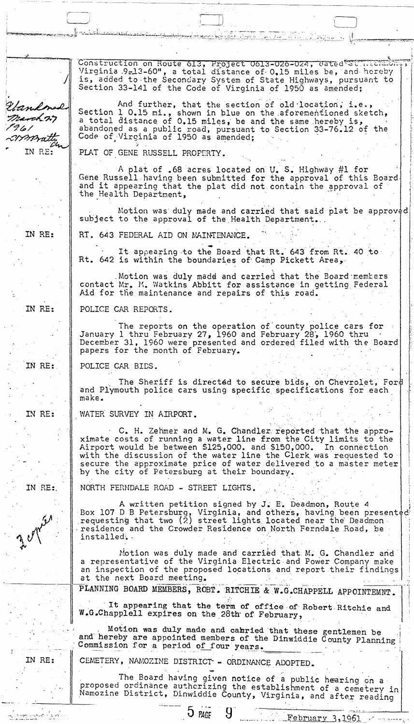Construction on Route 613, Project 0613-026-024, dated at 1.101 Virginia .9-13-60", a total distance of 0.15 miles be, and hereby is, added to the Secondary System of State Highways, pursuant to Section 33-141 of the Code of Virginia of 1950 as amended; And further, that the section of old location, Gandonal Section 1 0.15 mi., shown in blue on the aforementioned sketch,<br>a total distance of 0.15 miles, be and the same hereby is, March 27 abandoned as a public road, pursuant to Section 33-76.12 of the Code of Virginia of 1950 as amended; t 4 6 l mmai IN RE: PLAT OF GENE RUSSELL PROPERTY. A plat of .68 acres located on U. S. Highway #1 for Gene Russell having been submitted for the approval of this Board and it appearing that the plat did not contain the approval of the Health Department, Motion was duly made and carried that said plat be approved subject to the approval of the Health Department. IN RE: RT. 643 FEDERAL AID ON MAINTENANCE. It appearing to the Board that Rt. 643 from Rt. 40 to Rt. 642 is within the boundaries of Camp Pickett Area, Motion was duly madd and carried that the Board members contact Mr. M. Watkins Abbitt for assistance in getting Federal Aid for the maintenance and repairs of this road. IN RE: POLICE CAR REPORTS. The reports on the operation of county police cars for<br>January 1 thru February 27, 1960 and February 28, 1960 thru December 31, 1960 were presented and ordered filed with the Board papers for the month of February. IN RE: POLICE CAR BIDS. The Sheriff is directed to secure bids, on Chevrolet, Ford and Plymouth police cars using specific specifications for each make. IN RE: WATER SURVEY IN AIRPORT. C. H. Zehmer and M. G. Chandler reported that the approximate costs of running a water line from the City limits to the Airport would be between \$125,000. and \$150,000. In connection with the discussion of the water line the Clerk was requested to secure the approximate price of water delivered to a master meter by the city of Petersburg at their boundary. IN RE: NORTH FERNDALE ROAD - STREET LIGHTS. A written petition signed by J. E. Deadmon, Route 4 Box 107 D B Petersburg, Virginia, and others, having been presented requesting that two (2) street lights located near the Deadmon residence and the Crowder Residence on North Ferndale Road, be installed. Motion was duly made and carried that M. G. Chandler and a representative of the Virginia Electric and Power Company make an inspection of the proposed locations and report their findings at the next Board meeting. PLANNING BOARD MEMBERS, ROBT. RITCHIE & W.G.CHAPPELL APPOINTEMNT. It appearing that the term of office of Robert Ritchie and W.G.Chapplell expires on the 28th of February, Motion was duly made and calried that these gentlemen be and hereby are appointed members of the Dinwiddie County Planning Commission for a period of four years. CEMETERY, NAMOZINE DISTRICT - ORDINANCE ADOPTED. IN RE: The Board having given notice of a public hearing on a proposed ordinance authorizing the establishment of a cemetery in Namozine District, Dinwiddie County, Virginia, and after reading  $5$  page Y

<u>February 3,1961</u>

 $\sigma$  is the region of the projection

a Chamarta an